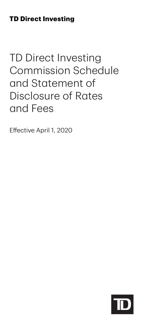# **TD Direct Investing**

# TD Direct Investing Commission Schedule and Statement of Disclosure of Rates and Fees

Effective April 1, 2020

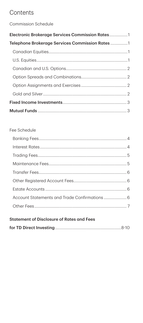# Contents

Commission Schedule

| Telephone Brokerage Services Commission Rates1 |  |
|------------------------------------------------|--|
|                                                |  |
|                                                |  |
|                                                |  |
|                                                |  |
|                                                |  |
|                                                |  |
|                                                |  |
|                                                |  |

### Fee Schedule

|--|--|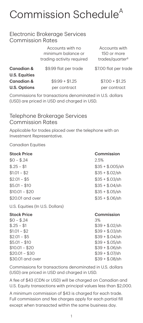# <span id="page-2-0"></span>Commission Schedule A

## Electronic Brokerage Services Commission Rates

|                      | Accounts with no<br>minimum balance or<br>trading activity required | Accounts with<br>150 or more<br>trades/quarter <sup>B</sup> |
|----------------------|---------------------------------------------------------------------|-------------------------------------------------------------|
| Canadian &           | \$9.99 flat per trade                                               | \$7.00 flat per trade                                       |
| <b>U.S. Equities</b> |                                                                     |                                                             |
| Canadian &           | $$9.99 + $1.25$                                                     | $$7.00 + $1.25$                                             |
| <b>U.S. Options</b>  | per contract                                                        | per contract                                                |

Commissions for transactions denominated in U.S. dollars (USD) are priced in USD and charged in USD.

## Telephone Brokerage Services Commission Rates

Applicable for trades placed over the telephone with an Investment Representative.

Canadian Equities

#### Stock Price Commission

| $$0 - $.24$      | 2.5%             |
|------------------|------------------|
| $$.25 - $1$      | $$35 + $.005/sh$ |
| $$1.01 - $2$     | $$35 + $.02/sh$  |
| $$2.01 - $5$     | $$35 + $.03/sh$  |
| $$5.01 - $10$    | $$35 + $.04/sh$  |
| $$10.01 - $20$   | $$35 + $.05/sh$  |
| \$20.01 and over | $$35 + $.06/sh$  |
|                  |                  |

U.S. Equities (In U.S. Dollars)

#### Stock Price

| $$0 - $.24$     |
|-----------------|
| $$.25 - $1$     |
| $$1.01 - $2$    |
| $$2.01 - $5$    |
| $$5.01 - $10$   |
| $$10.01 - $20$  |
| $$20.01 - $30$  |
| \$30.01 and ove |

#### Commission

3%  $$39 + $.02/sh$  $$39 + $.03/sh$  $$39 + $.04/sh$  $$39 + $.05/sh$  $$39 + $.06/sh$  $$39 + $.07/sh$ \$30.01 and over \$39 + \$.08/sh

Commissions for transactions denominated in U.S. dollars (USD) are priced in USD and charged in USD.

A fee of \$43 (CDN or USD) will be charged on Canadian and U.S. Equity transactions with principal values less than \$2,000.

A minimum commission of \$43 is charged for each trade. Full commission and fee charges apply for each partial fill except when transacted within the same business day.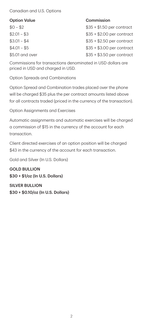#### <span id="page-3-0"></span>Canadian and U.S. Options

#### Option Value **Commission**

 $$0 - $2$$  $$2.01 - $3$  $$3.01 - $4$  $$4.01 - $5$ \$5.01 and over

 $$35 + $1.50$  per contract  $$35 + $2.00$  per contract  $$35 + $2.50$  per contract \$35 + \$3.00 per contract  $$35 + $3.50$  per contract

Commissions for transactions denominated in USD dollars are priced in USD and charged in USD.

Option Spreads and Combinations

 will be charged \$35 plus the per contract amounts listed above Option Spread and Combination trades placed over the phone for all contracts traded (priced in the currency of the transaction).

Option Assignments and Exercises

Automatic assignments and automatic exercises will be charged a commission of \$15 in the currency of the account for each transaction.

Client directed exercises of an option position will be charged \$43 in the currency of the account for each transaction.

Gold and Silver (In U.S. Dollars)

GOLD BULLION \$30 + \$1/oz (In U.S. Dollars)

SILVER BULLION \$30 + \$0.10/oz (In U.S. Dollars)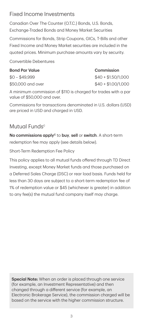# <span id="page-4-0"></span>Fixed Income Investments

Canadian Over The Counter (O.T.C.) Bonds, U.S. Bonds, Exchange-Traded Bonds and Money Market Securities

Commissions for Bonds, Strip Coupons, GICs, T-Bills and other Fixed Income and Money Market securities are included in the quoted prices. Minimum purchase amounts vary by security.

Convertible Debentures

| <b>Bond Par Value</b> |
|-----------------------|
| \$0 - \$49.999        |
| \$50,000 and over     |

#### **Commission**

 $$40 + $1.50/1.000$  $$40 + $1.00/1.000$ 

A minimum commission of \$110 is charged for trades with a par value of \$50,000 and over.

Commissions for transactions denominated in U.S. dollars (USD) are priced in USD and charged in USD.

# Mutual Funds<sup>c</sup>

No commissions apply<sup>c</sup> to buy, sell or switch. A short-term redemption fee may apply (see details below).

Short-Term Redemption Fee Policy

This policy applies to all mutual funds offered through TD Direct Investing, except Money Market funds and those purchased on a Deferred Sales Charge (DSC) or rear load basis. Funds held for less than 30 days are subject to a short-term redemption fee of 1% of redemption value or \$45 (whichever is greater) in addition to any fee(s) the mutual fund company itself may charge.

Special Note: When an order is placed through one service (for example, an Investment Representative) and then changed through a different service (for example, an Electronic Brokerage Service), the commission charged will be based on the service with the higher commission structure.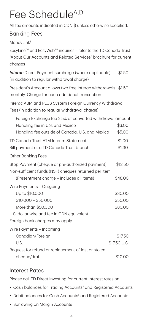# <span id="page-5-0"></span>Fee Schedule<sup>A,D</sup>

All fee amounts indicated in CDN \$ unless otherwise specified.

## Banking Fees

**MoneyLink<sup>E</sup>** 

| EasyLine™ and EasyWeb™ inquiries - refer to the TD Canada Trust<br>"About Our Accounts and Related Services" brochure for current<br>charges         |                               |
|------------------------------------------------------------------------------------------------------------------------------------------------------|-------------------------------|
| <b>Interac</b> Direct Payment surcharge (where applicable)<br>(in addition to regular withdrawal charge)                                             | \$1.50                        |
| President's Account allows two free Interac withdrawals \$1.50<br>monthly. Charge for each additional transaction                                    |                               |
| Interac ABM and PLUS System Foreign Currency Withdrawal<br>Fees (in addition to regular withdrawal charge):                                          |                               |
| Foreign Exchange fee 2.5% of converted withdrawal amount<br>Handling fee in U.S. and Mexico<br>Handling fee outside of Canada, U.S. and Mexico       | \$3.00<br>\$5.00              |
| TD Canada Trust ATM Interim Statement<br>Bill payment at a TD Canada Trust branch                                                                    | \$1.00<br>\$1.30              |
| <b>Other Banking Fees</b>                                                                                                                            |                               |
| Stop Payment (cheque or pre-authorized payment)<br>Non-sufficient funds (NSF) cheques returned per item<br>(Presentment charge – includes all items) | \$12.50<br>\$48.00            |
| Wire Payments - Outgoing                                                                                                                             |                               |
| Up to \$10,000<br>$$10,000 - $50,000$<br>More than \$50,000                                                                                          | \$30.00<br>\$50.00<br>\$80.00 |
| U.S. dollar wire and fee in CDN equivalent.                                                                                                          |                               |
| Foreign bank charges may apply.                                                                                                                      |                               |
| Wire Payments - Incoming                                                                                                                             |                               |
| Canadian/Foreign                                                                                                                                     | \$17.50                       |
| U.S.                                                                                                                                                 | \$17.50 U.S.                  |
| Request for refund or replacement of lost or stolen<br>cheque/draft                                                                                  | \$10.00                       |

# Interest Rates

Please call TD Direct Investing for current interest rates on:

- **Cash balances for Trading Accounts<sup>F</sup> and Registered Accounts**
- Debit balances for Cash Accounts<sup>F</sup> and Registered Accounts
- **Borrowing on Margin Accounts**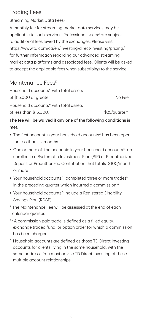# <span id="page-6-0"></span>Trading Fees

Streaming Market Data Fees<sup>D</sup>

A monthly fee for streaming market data services may be applicable to such services. Professional Users<sup>G</sup> are subject to additional fees levied by the exchanges. Please visit <https://www.td.com/ca/en/investing/direct-investing/pricing/> for further information regarding our advanced streaming market data platforms and associated fees. Clients will be asked to accept the applicable fees when subscribing to the service.

# Maintenance Fees<sup>D</sup>

Household accounts^ with total assets of \$15,000 or greater. No Fee Household accounts^ with total assets of less than \$15,000. \$25/quarter\*

The fee will be waived if any one of the following conditions is met:

- **The first account in your household accounts**<sup>^</sup> has been open for less than six months
- One or more of the accounts in your household accounts^ are enrolled in a Systematic Investment Plan (SIP) or Preauthorized Deposit or Preauthorized Contribution that totals \$100/month or more
- Your household accounts^ completed three or more trades<sup>H</sup> in the preceding quarter which incurred a commission\*\*
- Your household accounts^ include a Registered Disability Savings Plan (RDSP)
- calendar quarter. \* The Maintenance Fee will be assessed at the end of each
- \*\* A commission paid trade is defined as a filled equity, exchange traded fund, or option order for which a commission has been charged.
- ^ Household accounts are defined as those TD Direct Investing accounts for clients living in the same household, with the same address. You must advise TD Direct Investing of these multiple account relationships.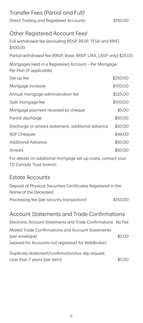<span id="page-7-0"></span>

| Transfer Fees (Partial and Full) <sup>1</sup>                                            |          |
|------------------------------------------------------------------------------------------|----------|
| Direct Trading and Registered Accounts                                                   | \$150.00 |
|                                                                                          |          |
| Other Registered Account Fees <sup>1</sup>                                               |          |
| Full withdrawal fee (excluding RDSP, RESP, TFSA and RRIF)<br>\$100.00                    |          |
| Partial withdrawal fee (RRSP, Basic RRSP, LIRA, LRSP only) \$25.00                       |          |
| Mortgages Held in a Registered Account - Per Mortgage,<br>Per Plan (if applicable)       |          |
| Set-up fee                                                                               | \$250.00 |
| Mortgage increase                                                                        | \$100.00 |
| Annual mortgage administration fee                                                       | \$225.00 |
| Split mortgage fee                                                                       | \$100.00 |
| Mortgage payment received by cheque                                                      | \$5.00   |
| Partial discharge                                                                        | \$50.00  |
| Discharge or arrears statement, additional advance                                       | \$50.00  |
| <b>NSF Cheques</b>                                                                       | \$48.00  |
| <b>Additional Advance</b>                                                                | \$50.00  |
| Arrears                                                                                  | \$50.00  |
| For details on additional mortgage set-up costs, contact your<br>TD Canada Trust branch. |          |
| <b>Estate Accounts</b>                                                                   |          |
| Deposit of Physical Securities Certificates Registered in the<br>Name of the Deceased    |          |
| Processing fee (per security transaction) <sup>J</sup>                                   | \$150.00 |
| <b>Account Statements and Trade Confirmations</b>                                        |          |
| Electronic Account Statements and Trade Confirmations No Fee                             |          |
| Mailed Trade Confirmations and Account Statements                                        |          |
| (per envelope)<br>(waived for Accounts not registered for WebBroker)                     | \$2.00   |
| Duplicate statement/confirmation/tax slip request                                        |          |
| Less than 7 years (per item)                                                             | \$5.00   |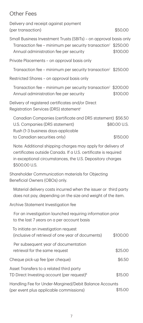# <span id="page-8-0"></span>Other Fees

| Delivery and receipt against payment<br>(per transaction)                                                                                                                                                   | \$50.00                  |
|-------------------------------------------------------------------------------------------------------------------------------------------------------------------------------------------------------------|--------------------------|
| Small Business Investment Trusts (SBITs) – on approval basis only<br>Transaction fee – minimum per security transaction <sup>1</sup> \$250.00<br>Annual administration fee per security                     | \$100.00                 |
| Private Placements – on approval basis only                                                                                                                                                                 |                          |
| Transaction fee – minimum per security transaction <sup>1</sup> \$250.00                                                                                                                                    |                          |
| Restricted Shares – on approval basis only                                                                                                                                                                  |                          |
| Transaction fee – minimum per security transaction <sup>1</sup> \$200.00<br>Annual administration fee per security                                                                                          | \$100.00                 |
| Delivery of registered certificates and/or Direct<br>Registration Services (DRS) statement <sup>」</sup>                                                                                                     |                          |
| Canadian Companies (certificate and DRS statement) \$56.50<br>U.S. Companies (DRS statement)<br>Rush (1-3 business days-applicable<br>to Canadian securities only)                                          | \$80.00 U.S.<br>\$150.00 |
| Note: Additional shipping charges may apply for delivery of<br>certificates outside Canada. If a U.S. certificate is required<br>in exceptional circumstances, the U.S. Depository charges<br>\$500.00 U.S. |                          |
| Shareholder Communication materials for Objecting<br>Beneficial Owners (OBOs) only.                                                                                                                         |                          |
| Material delivery costs incurred when the issuer or third party<br>does not pay, depending on the size and weight of the item.                                                                              |                          |
| Archive Statement Investigation fee                                                                                                                                                                         |                          |
| For an investigation launched requiring information prior<br>to the last 7 years on a per account basis                                                                                                     |                          |
| To initiate an investigation request<br>(inclusive of retrieval of one year of documents)                                                                                                                   | \$100.00                 |
| Per subsequent year of documentation<br>retrieval for the same request                                                                                                                                      | \$25.00                  |
| Cheque pick-up fee (per cheque)                                                                                                                                                                             | \$6.50                   |
| Asset Transfers to a related third party<br>TD Direct Investing account (per request) <sup>K</sup>                                                                                                          | \$15.00                  |
| Handling Fee for Under-Margined/Debit Balance Accounts<br>(per event plus applicable commissions)                                                                                                           | \$15.00                  |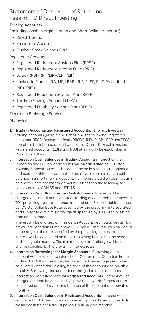## <span id="page-9-0"></span>Statement of Disclosure of Rates and Fees for TD Direct Investing

Trading Accounts

(including Cash, Margin, Option and Short Selling Accounts)

- Direct Tradina
- **President's Account**
- Quebec Stock Savings Plan

Registered Accounts<sup>I</sup>

- Registered Retirement Savings Plan (RRSP)
- Registered Retirement Income Fund (RRIF)
- Basic (RRSP/RRIF/LIRA/LRIF/LIF)
- Locked-In Plans (LIRA, LIF, LRSP, LRIF, RLSP, RLIF, Prescribed RIF (PRIF))
- Registered Education Savings Plan (RESP)
- Tax-Free Savings Account (TFSA)
- Registered Disability Savings Plan (RDSP)

Electronic Brokerage Services Moneylink

- $1<sup>1</sup>$ Trading Accounts and Registered Accounts: TD Direct Investing trading accounts (Margin and Cash), and the following Registered accounts, RRSPs (except for Basic RRSPs), RIFs, RLSP, LRSP and TFSAs operate in both Canadian and US dollars. Other TD Direct Investing Registered accounts (RESPs and RDSPs) may only be established in Canadian dollars.
- 2. Interest on Cash Balances in Trading Accounts: Interest on the Canadian and U.S. dollar accounts will be calculated at TD Direct Investing's prevailing rates, based on the daily closing cash balance and paid monthly. Interest shall not be payable on a closing credit balance in a short margin account. No interest is paid on closing cash balances where the monthly amount is less than the following for each currency: CDN \$5 and USD \$5.
- 3. Interest on Debit Balances for Cash Accounts: Interest will be charged on Canadian Dollar Direct Trading account debit balances at TD's prevailing overdraft interest rate and on U.S. dollar debit balances at TD's U.S. Dollar Base Rate, specified by the prevailing interest rates and subject to a minimum charge as specified by TD Direct Investing from time to time.

Interest will be charged on President's Account debit balances at TD's prevailing Canadian Prime and/or U.S. Dollar Base Rate plus an annual percentage at the rate specified by the prevailing interest rates. Interest will be calculated on the daily closing balance in the account and is payable monthly. The minimum overdraft charge will be the charge specified by the prevailing interest rates.

- 4. Interest on Borrowings for Margin Accounts: Borrowing on this account will be subject to interest at TD's prevailing Canadian Prime and/or U.S. Dollar Base Rate plus a specified percentage per annum calculated on the daily closing balance of the account and payable monthly. Borrowings include all fees charged to these accounts.
- 5. Interest on Debit Balances for Registered Accounts<sup>1</sup>: Interest will be charged on debit balances at TD's prevailing overdraft interest rate calculated on the daily closing balance of the account and payable monthly.
- 6. Interest on Cash Balances in Registered Accounts<sup>1</sup>: Interest will be calculated at TD Direct Investing prevailing rates, based on the daily closing cash balance and, if payable, will be paid monthly.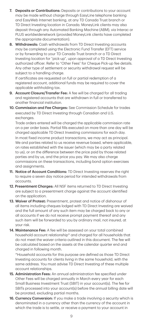- 7. Deposits or Contributions: Deposits or contributions to your account may be made without charge through EasyLine telephone banking and EasyWeb Internet banking, at any TD Canada Trust branch or TD Direct Investing location in Canada. MoneyLink clients may also deposit through any Automated Banking Machine (ABM), via Interac or PLUS worldwidenetwork (provided MoneyLink clients have completed the appropriate documentation).
- 8. Withdrawals: Cash withdrawals from TD Direct Investing accounts may be completed using the Electronic Fund Transfer (EFT) service or by forwarding to your TD Canada Trust branch or a TD Direct Investing location for "pick-up", upon approval of a TD Direct Investing authorized officer. Refer to "Other Fees" for Cheque Pick-up fee details. Any other type of settlement or security withdrawal request will be subject to a handling charge.

If certificates are requested on full or partial redemption of a registered account, additional funds may be required to cover the applicable withholding tax.

- 9. Account Closure/Transfer Fee: A fee will be charged for all trading and registered accounts that are withdrawn in full or transferred to another financial institution.
- 10. Commission and Fee Charges: See Commission Schedule for trades executed by TD Direct Investing through Canadian and U.S. exchanges.

Trade orders entered will be charged the applicable commission rate on a per order basis. Partial fills executed on more than one day will be charged applicable TD Direct Investing commissions for each day.

In most fixed income product transactions, we may act as principal. We and parties related to us receive revenue based, where applicable, on rates established with the issuer (which may be a party related to us), or on the difference between the price paid by those related parties and by us, and the price you pay. We may also charge commissions on these transactions, including bond option exercises and assignments.

- 11. Notice of Account Conditions: TD Direct Investing reserves the right to require a seven day notice period for intended withdrawals from accounts.
- 12. Presentment Charges: All NSF items returned to TD Direct Investing are subject to a presentment charge against the account identified on the application.
- 13. Waiver of Protest: Presentment, protest and notice of dishonour of all items including cheques lodged with TD Direct Investing are waived and the full amount of any such item may be charged back to any or all accounts if we do not receive prompt payment thereof and any such item will be forwarded to you by ordinary mail, not insured, at your risk.
- 14. Maintenance Fee: A fee will be assessed on your total combined household account relationship ^ and charged for all households that do not meet the waiver criteria outlined in this document. The fee will be calculated based on the assets at the calendar quarter end and charged in following month.

^Household accounts for this purpose are defined as those TD Direct Investing accounts for clients living in the same household, with the same address. You must advise TD Direct Investing of these multiple account relationships.

- 15. Administration Fees: An annual administration fee specified under Other Fees will be charged annually in March every year for each Small Business Investment Trust (SBIT) in your account(s). The fee for SBITs processed into your account(s) before the annual billing date will be prorated, excluding partial months.
- 16. Currency Conversion: If you make a trade involving a security which is denominated in a currency other than the currency of the account in which the trade is to settle, or receive a payment to your account in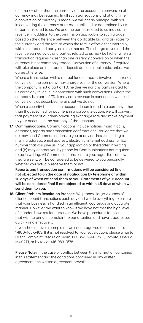a currency other than the currency of the account, a conversion of a conversion of currency is made, we will act as principal with you currency may be required. In all such transactions and at any time in converting the currency at rates established or determined by us or parties related to us. We and the parties related to us may earn revenue, in addition to the commission applicable to such a trade, based on the difference between the applicable bid and ask rates for the currency and the rate at which the rate is offset either internally, with a related third party, or in the market. The charge to you and the revenue earned by us and parties related to us may be higher when a transaction requires more than one currency conversion or when the currency is not commonly traded. Conversion of currency, if required, will take place on the trade or deposit date, as applicable, unless we agree otherwise.

Where a transaction with a mutual fund company involves a currency conversion, the company may charge you for the conversion. Where the company is not a part of TD, neither we nor any party related to us earns any revenue in connection with such conversions. Where the company is a part of TD, it may earn revenue in connection with such conversions as described herein, but we do not.

When a security is held in an account denominated in a currency other than that specified for payment in a corporate action, we will convert that payment at our then-prevailing exchange rate and make payment to your account in the currency of that account.

17. Communications: Communications include notices, margin calls, demands, reports and transaction confirmations. You agree that we: (a) may send Communications to you at any address (including a mailing address, email address, electronic, internet address) or fax number that you give us in your application or thereafter in writing; and (b) may contact you by phone for Communications not required to be in writing. All Communications sent to you, regardless of how they are sent, will be considered to be delivered to you personally, whether you actually receive them or not.

Reports and transaction confirmations will be considered final if not objected to on the date of notification by telephone or within 10 days of when we send them to you. Statements of your account will be considered final if not objected to within 45 days of when we send them to you.

18. Client Problem Resolution Process: We process large volumes of client account transactions each day and we do everything to ensure that your business is handled in an efficient, courteous and accurate manner. However, we want to know if we have not met the high level of standards we set for ourselves. We have procedures for clients that wish to bring a complaint to our attention and have it addressed quickly and effectively.

If you should have a complaint, we encourage you to contact us at 1-800-465-5463. If it is not resolved to your satisfaction, please write to Client Complaint Resolution Team, P.O. Box 5999, Stn. F, Toronto, Ontario, M4Y 2T1, or by fax at 416-983-2578.

Please Note: In the case of conflict between the information contained in this statement and the conditions contained in any written agreement, the written agreement prevails.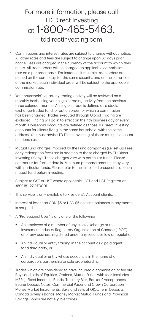# For more information, please call TD Direct Investing at 1-800-465-5463. [tddirectinvesting.com](https://www.td.com/ca/en/investing/direct-investing/)

- A. Commissions and interest rates are subject to change without notice. All other rates and fees are subject to change upon 60 days prior notice. Fees are charged in the currency of the account to which they relate. All trade orders will be charged an applicable commission rate on a per order basis. For instance, if multiple trade orders are placed on the same day, for the same security, and on the same side of the market, each individual order will be subject to the applicable commission rate.
- B. Your household's quarterly trading activity will be reviewed on a monthly basis using your eligible trading activity from the previous three calendar months. An eligible trade is defined as a stock, exchange-traded fund, or option order for which a commission has been charged. Trades executed through Global Trading are excluded. Pricing will go in to effect on the 4th business day of every month. Household accounts are defined as those TD Direct Investing accounts for clients living in the same household, with the same address. You must advise TD Direct Investing of these multiple account relationships.
- $\rm{c}$  Mutual Fund charges imposed by the Fund companies (i.e. set-up Fees, early redemption fees) are in addition to those charged by TD Direct Investing (if any). These charges vary with particular funds. Please contact us for further details. Minimum purchase amounts may vary with particular funds. Please refer to the simplified prospectus of each mutual fund before investing.
- D. Subject to GST or HST where applicable. GST and HST Registration #899181127 RT0001.
- E. This service is only available to President's Account clients.
- F. Interest of less than CDN \$5 or USD \$5 on cash balances in any month is not paid.
- G. A "Professional User" is any one of the following:
	- An employee of a member of any stock exchange or the Investment Industry Regulatory Organization of Canada (IIROC), or of any business registered under any securities law or regulation;
	- An individual or entity trading in the account as a paid agent for a third party; or
	- An individual or entity whose account is in the name of a corporation, partnership or sole proprietorship.
- $\overline{H}$ Trades which are considered to have incurred a commission or fee are: Buys and sells of Equities, Options, Mutual Funds with fees (excludes MERs), Fixed Income – Bonds, Treasury Bills, Bankers' Acceptances, Bearer Deposit Notes, Commercial Paper and Crown Corporation Money Market Instruments. Buys and sells of GICs, Term Deposits, Canada Savings Bonds, Money Market Mutual Funds and Provincial Savings Bonds are not eligible trades.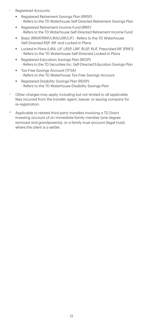- í. Registered Accounts
	- Registered Retirement Savings Plan (RRSP) - Refers to the TD Waterhouse Self-Directed Retirement Savings Plan
	- Registered Retirement Income Fund (RRIF) - Refers to the TD Waterhouse Self-Directed Retirement Income Fund
	- Basic (RRSP/RRIF/LIRA/LRIF/LIF) Refers to the TD Waterhouse Self-Directed RSP, RIF and Locked-in Plans
	- Locked-In Plans (LIRA, LIF, LRSP, LRIF, RLSP, RLIF, Prescribed RIF (PRIF)) - Refers to the TD Waterhouse Self-Directed Locked-in Plans
	- Registered Education Savings Plan (RESP) - Refers to the TD Securities Inc. Self-Directed Education Savings Plan
	- Tax-Free Savings Account (TFSA) - Refers to the TD Waterhouse Tax-Free Savings Account
	- **Registered Disability Savings Plan (RDSP)** - Refers to the TD Waterhouse Disability Savings Plan
- $\mu$  Other charges may apply, including but not limited to all applicable fees incurred from the transfer agent, lawyer, or issuing company for re-registration.
- K. Applicable to related third party transfers involving a TD Direct Investing account of an immediate family member (one degree removed and grandparents), or a family trust account (legal trust) where the client is a settler.